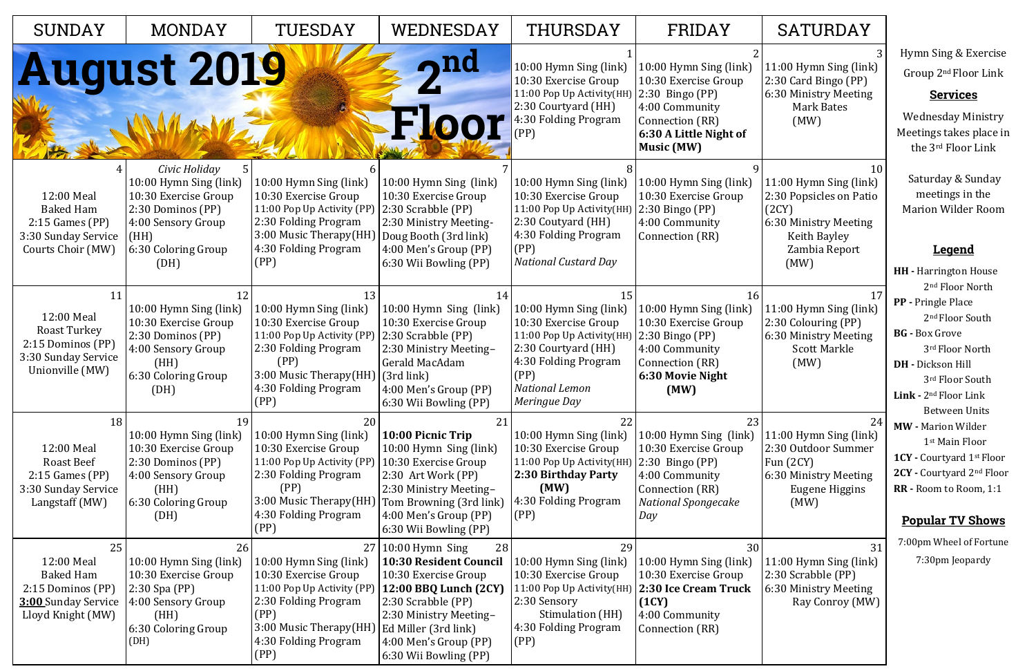10

11:00 Hymn Sing (link) 2:30 Popsicles on Patio (2CY) 6:30 Ministry Meeting

 Keith Bayley Zambia Report (MW)

17

11:00 Hymn Sing (link) 2:30 Colouring (PP) 6:30 Ministry Meeting Scott Markle (MW)

| <b>SUNDAY</b>                                                                                         | <b>MONDAY</b>                                                                                                                                          | TUESDAY                                                                                                                                                                      | WEDNESDAY                                                                                                                                                                                                                              | THURSDAY                                                                                                                                                                   | FRIDAY                                                                                                                                                  |
|-------------------------------------------------------------------------------------------------------|--------------------------------------------------------------------------------------------------------------------------------------------------------|------------------------------------------------------------------------------------------------------------------------------------------------------------------------------|----------------------------------------------------------------------------------------------------------------------------------------------------------------------------------------------------------------------------------------|----------------------------------------------------------------------------------------------------------------------------------------------------------------------------|---------------------------------------------------------------------------------------------------------------------------------------------------------|
|                                                                                                       | August 2019                                                                                                                                            |                                                                                                                                                                              | <u>nd</u><br>Floor                                                                                                                                                                                                                     | 10:00 Hymn Sing (link)<br>10:30 Exercise Group<br>11:00 Pop Up Activity(HH)<br>2:30 Courtyard (HH)<br>4:30 Folding Program<br>(PP)                                         | 10:00 Hymn Sing (link)<br>10:30 Exercise Group<br>$2:30$ Bingo (PP)<br>4:00 Community<br>Connection (RR)<br>6:30 A Little Night of<br><b>Music (MW)</b> |
| 12:00 Meal<br><b>Baked Ham</b><br>$2:15$ Games (PP)<br>3:30 Sunday Service<br>Courts Choir (MW)       | Civic Holiday<br>5<br>10:00 Hymn Sing (link)<br>10:30 Exercise Group<br>2:30 Dominos (PP)<br>4:00 Sensory Group<br>(HH)<br>6:30 Coloring Group<br>(DH) | 10:00 Hymn Sing (link)<br>10:30 Exercise Group<br>11:00 Pop Up Activity (PP)<br>2:30 Folding Program<br>3:00 Music Therapy(HH)<br>4:30 Folding Program<br>(PP)               | 10:00 Hymn Sing (link)<br>10:30 Exercise Group<br>2:30 Scrabble (PP)<br>2:30 Ministry Meeting-<br>Doug Booth (3rd link)<br>4:00 Men's Group (PP)<br>6:30 Wii Bowling (PP)                                                              | 10:00 Hymn Sing (link)<br>10:30 Exercise Group<br>11:00 Pop Up Activity(HH)<br>2:30 Coutyard (HH)<br>4:30 Folding Program<br>(PP)<br><b>National Custard Day</b>           | 10:00 Hymn Sing (link)<br>10:30 Exercise Group<br>$2:30$ Bingo (PP)<br>4:00 Community<br>Connection (RR)                                                |
| 11<br>12:00 Meal<br>Roast Turkey<br>2:15 Dominos (PP)<br>3:30 Sunday Service<br>Unionville (MW)       | 12<br>10:00 Hymn Sing (link)<br>10:30 Exercise Group<br>2:30 Dominos (PP)<br>4:00 Sensory Group<br>(HH)<br>6:30 Coloring Group<br>(DH)                 | 13<br>10:00 Hymn Sing (link)<br>10:30 Exercise Group<br>11:00 Pop Up Activity (PP)<br>2:30 Folding Program<br>(PP)<br>3:00 Music Therapy(HH)<br>4:30 Folding Program<br>(PP) | 14<br>10:00 Hymn Sing (link)<br>10:30 Exercise Group<br>2:30 Scrabble (PP)<br>2:30 Ministry Meeting-<br>Gerald MacAdam<br>(3rd link)<br>4:00 Men's Group (PP)<br>6:30 Wii Bowling (PP)                                                 | 15<br>10:00 Hymn Sing (link)<br>10:30 Exercise Group<br>11:00 Pop Up Activity(HH)<br>2:30 Courtyard (HH)<br>4:30 Folding Program<br>(PP)<br>National Lemon<br>Meringue Day | 16<br>10:00 Hymn Sing (link)<br>10:30 Exercise Group<br>$2:30$ Bingo (PP)<br>4:00 Community<br>Connection (RR)<br>6:30 Movie Night<br>(MW)              |
| 18<br>12:00 Meal<br><b>Roast Beef</b><br>$2:15$ Games (PP)<br>3:30 Sunday Service<br>Langstaff (MW)   | 19<br>10:00 Hymn Sing (link)<br>10:30 Exercise Group<br>2:30 Dominos (PP)<br>4:00 Sensory Group<br>(HH)<br>6:30 Coloring Group<br>(DH)                 | 20<br>10:00 Hymn Sing (link)<br>10:30 Exercise Group<br>11:00 Pop Up Activity (PP)<br>2:30 Folding Program<br>(PP)<br>3:00 Music Therapy(HH)<br>4:30 Folding Program<br>(PP) | 21<br>10:00 Picnic Trip<br>10:00 Hymn Sing (link)<br>10:30 Exercise Group<br>2:30 Art Work (PP)<br>2:30 Ministry Meeting-<br>Tom Browning (3rd link)<br>4:00 Men's Group (PP)<br>6:30 Wii Bowling (PP)                                 | 22<br>10:00 Hymn Sing (link)<br>10:30 Exercise Group<br>11:00 Pop Up Activity(HH)<br>2:30 Birthday Party<br>(MW)<br>4:30 Folding Program<br>(PP)                           | 23<br>10:00 Hymn Sing (link)<br>10:30 Exercise Group<br>$2:30$ Bingo (PP)<br>4:00 Community<br>Connection (RR)<br><b>National Spongecake</b><br>Day     |
| 25<br>12:00 Meal<br><b>Baked Ham</b><br>2:15 Dominos (PP)<br>3:00 Sunday Service<br>Lloyd Knight (MW) | 26<br>10:00 Hymn Sing (link)<br>10:30 Exercise Group<br>$2:30$ Spa (PP)<br>4:00 Sensory Group<br>(HH)<br>6:30 Coloring Group<br>(DH)                   | 10:00 Hymn Sing (link)<br>10:30 Exercise Group<br>11:00 Pop Up Activity (PP)<br>2:30 Folding Program<br>(PP)<br>3:00 Music Therapy(HH)<br>4:30 Folding Program<br>(PP)       | 28<br>$27 10:00$ Hymn Sing<br><b>10:30 Resident Council</b><br>10:30 Exercise Group<br>12:00 BBQ Lunch (2CY)<br>2:30 Scrabble (PP)<br>2:30 Ministry Meeting-<br>Ed Miller (3rd link)<br>4:00 Men's Group (PP)<br>6:30 Wii Bowling (PP) | 29<br>10:00 Hymn Sing (link)<br>10:30 Exercise Group<br>11:00 Pop Up Activity(HH)<br>2:30 Sensory<br>Stimulation (HH)<br>4:30 Folding Program<br>(PP)                      | 30<br>10:00 Hymn Sing (link)<br>10:30 Exercise Group<br>2:30 Ice Cream Truck<br>(1CY)<br>4:00 Community<br>Connection (RR)                              |

## SATURDAY

24

11:00 Hymn Sing (link) 2:30 Outdoor Summer Fun (2CY)

6:30 Ministry Meeting Eugene Higgins (MW)

31

11:00 Hymn Sing (link) 2:30 Scrabble (PP) 6:30 Ministry Meeting Ray Conroy (MW) Hymn Sing & Exercise Group 2nd Floor Link

## **Services**

Wednesday Ministry Meetings takes place in the 3rd Floor Link

Saturday & Sunday meetings in the Marion Wilder Room

## **Legend**

- **HH -** Harrington House 2nd Floor North
- **PP -** Pringle Place 2<sup>nd</sup> Floor South
- **BG -** Box Grove 3rd Floor North
- **DH -** Dickson Hill 3rd Floor South
- **Link -** 2nd Floor Link Between Units
- **MW -** Marion Wilder 1st Main Floor
- **1CY -** Courtyard 1st Floor
- **2CY -** Courtyard 2nd Floor
- **RR -** Room to Room, 1:1

## **Popular TV Shows**

7:00pm Wheel of Fortune 7:30pm Jeopardy